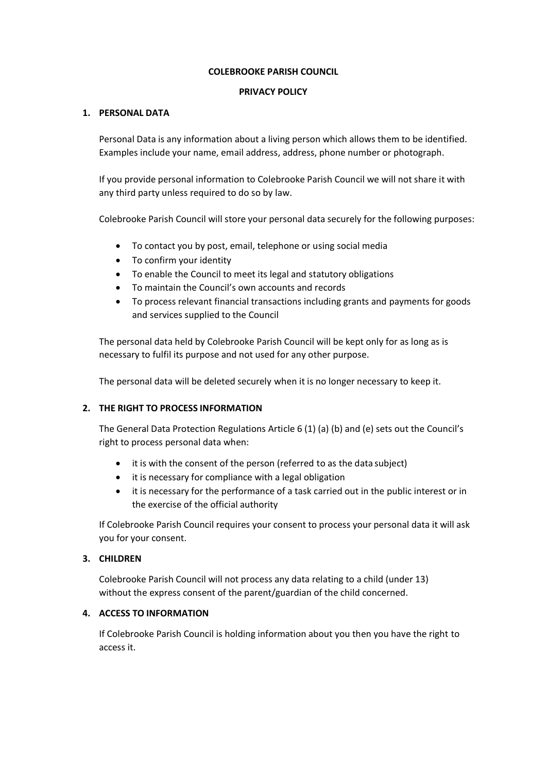#### **COLEBROOKE PARISH COUNCIL**

### **PRIVACY POLICY**

# **1. PERSONAL DATA**

Personal Data is any information about a living person which allows them to be identified. Examples include your name, email address, address, phone number or photograph.

If you provide personal information to Colebrooke Parish Council we will not share it with any third party unless required to do so by law.

Colebrooke Parish Council will store your personal data securely for the following purposes:

- To contact you by post, email, telephone or using social media
- To confirm your identity
- To enable the Council to meet its legal and statutory obligations
- To maintain the Council's own accounts and records
- To process relevant financial transactions including grants and payments for goods and services supplied to the Council

The personal data held by Colebrooke Parish Council will be kept only for as long as is necessary to fulfil its purpose and not used for any other purpose.

The personal data will be deleted securely when it is no longer necessary to keep it.

# **2. THE RIGHT TO PROCESS INFORMATION**

The General Data Protection Regulations Article 6 (1) (a) (b) and (e) sets out the Council's right to process personal data when:

- it is with the consent of the person (referred to as the data subject)
- it is necessary for compliance with a legal obligation
- it is necessary for the performance of a task carried out in the public interest or in the exercise of the official authority

If Colebrooke Parish Council requires your consent to process your personal data it will ask you for your consent.

# **3. CHILDREN**

Colebrooke Parish Council will not process any data relating to a child (under 13) without the express consent of the parent/guardian of the child concerned.

# **4. ACCESS TO INFORMATION**

If Colebrooke Parish Council is holding information about you then you have the right to access it.